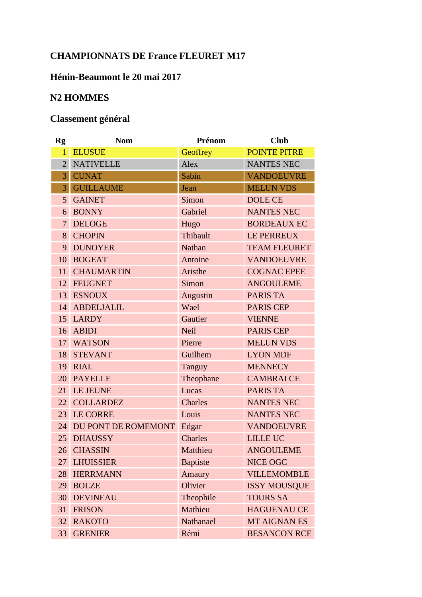## **CHAMPIONNATS DE France FLEURET M17**

## **Hénin-Beaumont le 20 mai 2017**

## **N2 HOMMES**

## **Classement général**

| Rg              | <b>Nom</b>             | Prénom          | <b>Club</b>         |
|-----------------|------------------------|-----------------|---------------------|
| $\mathbf{1}$    | <b>ELUSUE</b>          | Geoffrey        | <b>POINTE PITRE</b> |
| $\overline{2}$  | <b>NATIVELLE</b>       | Alex            | <b>NANTES NEC</b>   |
| $\overline{3}$  | <b>CUNAT</b>           | Sabin           | <b>VANDOEUVRE</b>   |
| $\overline{3}$  | <b>GUILLAUME</b>       | Jean            | <b>MELUN VDS</b>    |
| 5 <sup>1</sup>  | <b>GAINET</b>          | Simon           | <b>DOLE CE</b>      |
|                 | 6 BONNY                | Gabriel         | <b>NANTES NEC</b>   |
|                 | 7 DELOGE               | Hugo            | <b>BORDEAUX EC</b>  |
| 8               | <b>CHOPIN</b>          | Thibault        | LE PERREUX          |
|                 | 9 DUNOYER              | <b>Nathan</b>   | <b>TEAM FLEURET</b> |
|                 | 10 BOGEAT              | Antoine         | <b>VANDOEUVRE</b>   |
| 11 <sup>1</sup> | <b>CHAUMARTIN</b>      | Aristhe         | <b>COGNAC EPEE</b>  |
|                 | 12 FEUGNET             | Simon           | <b>ANGOULEME</b>    |
|                 | 13 ESNOUX              | Augustin        | <b>PARIS TA</b>     |
|                 | 14 ABDELJALIL          | Wael            | <b>PARIS CEP</b>    |
|                 | 15 LARDY               | Gautier         | <b>VIENNE</b>       |
|                 | 16 ABIDI               | <b>Neil</b>     | <b>PARIS CEP</b>    |
|                 | 17 WATSON              | Pierre          | <b>MELUN VDS</b>    |
| 18              | <b>STEVANT</b>         | Guilhem         | <b>LYON MDF</b>     |
| 19 <sup>°</sup> | <b>RIAL</b>            | Tanguy          | <b>MENNECY</b>      |
|                 | 20 PAYELLE             | Theophane       | <b>CAMBRAICE</b>    |
|                 | 21 LE JEUNE            | Lucas           | <b>PARIS TA</b>     |
|                 | 22 COLLARDEZ           | Charles         | <b>NANTES NEC</b>   |
|                 | 23 LE CORRE            | Louis           | <b>NANTES NEC</b>   |
|                 | 24 DU PONT DE ROMEMONT | Edgar           | <b>VANDOEUVRE</b>   |
| 25              | <b>DHAUSSY</b>         | <b>Charles</b>  | <b>LILLE UC</b>     |
| 26              | <b>CHASSIN</b>         | Matthieu        | <b>ANGOULEME</b>    |
| 27              | <b>LHUISSIER</b>       | <b>Baptiste</b> | NICE OGC            |
| 28              | <b>HERRMANN</b>        | Amaury          | <b>VILLEMOMBLE</b>  |
| 29              | <b>BOLZE</b>           | Olivier         | <b>ISSY MOUSQUE</b> |
| 30              | <b>DEVINEAU</b>        | Theophile       | <b>TOURS SA</b>     |
| 31              | <b>FRISON</b>          | Mathieu         | <b>HAGUENAU CE</b>  |
| 32              | <b>RAKOTO</b>          | Nathanael       | <b>MT AIGNAN ES</b> |
| 33              | <b>GRENIER</b>         | Rémi            | <b>BESANCON RCE</b> |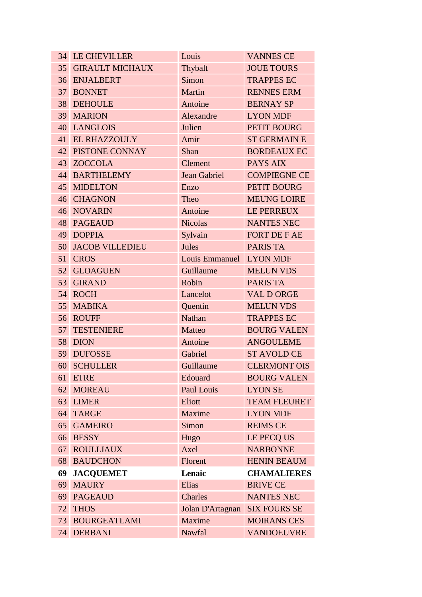|                 | <b>34 LE CHEVILLER</b>   | Louis                   | <b>VANNES CE</b>    |  |
|-----------------|--------------------------|-------------------------|---------------------|--|
| 35 <sup>7</sup> | <b>GIRAULT MICHAUX</b>   | Thybalt                 | <b>JOUE TOURS</b>   |  |
|                 | 36 ENJALBERT             | Simon                   | <b>TRAPPES EC</b>   |  |
|                 | 37 BONNET                | Martin                  | <b>RENNES ERM</b>   |  |
|                 | 38 DEHOULE               | Antoine                 | <b>BERNAY SP</b>    |  |
|                 | 39 MARION                | Alexandre               | <b>LYON MDF</b>     |  |
|                 | 40 LANGLOIS              | Julien                  | PETIT BOURG         |  |
|                 | 41 EL RHAZZOULY          | Amir                    | <b>ST GERMAIN E</b> |  |
|                 | <b>42 PISTONE CONNAY</b> | Shan                    | <b>BORDEAUX EC</b>  |  |
|                 | 43 ZOCCOLA               | Clement                 | PAYS AIX            |  |
|                 | 44 BARTHELEMY            | <b>Jean Gabriel</b>     | <b>COMPIEGNE CE</b> |  |
|                 | 45 MIDELTON              | Enzo                    | PETIT BOURG         |  |
|                 | 46 CHAGNON               | Theo                    | <b>MEUNG LOIRE</b>  |  |
|                 | <b>46 NOVARIN</b>        | Antoine                 | LE PERREUX          |  |
|                 | <b>48 PAGEAUD</b>        | <b>Nicolas</b>          | <b>NANTES NEC</b>   |  |
|                 | 49 DOPPIA                | Sylvain                 | <b>FORT DE F AE</b> |  |
| 50              | <b>JACOB VILLEDIEU</b>   | Jules                   | <b>PARIS TA</b>     |  |
| 51              | <b>CROS</b>              | Louis Emmanuel LYON MDF |                     |  |
|                 | 52 GLOAGUEN              | Guillaume               | <b>MELUN VDS</b>    |  |
| 53              | <b>GIRAND</b>            | Robin                   | <b>PARIS TA</b>     |  |
| 54              | <b>ROCH</b>              | Lancelot                | <b>VAL D ORGE</b>   |  |
| 55              | <b>MABIKA</b>            | Quentin                 | <b>MELUN VDS</b>    |  |
|                 | 56 ROUFF                 | Nathan                  | <b>TRAPPES EC</b>   |  |
| 57              | <b>TESTENIERE</b>        | Matteo                  | <b>BOURG VALEN</b>  |  |
| 58              | <b>DION</b>              | Antoine                 | <b>ANGOULEME</b>    |  |
| 59              | <b>DUFOSSE</b>           | Gabriel                 | <b>ST AVOLD CE</b>  |  |
| 60              | <b>SCHULLER</b>          | Guillaume               | <b>CLERMONT OIS</b> |  |
| 61              | <b>ETRE</b>              | Edouard                 | <b>BOURG VALEN</b>  |  |
| 62              | <b>MOREAU</b>            | Paul Louis              | <b>LYON SE</b>      |  |
| 63              | <b>LIMER</b>             | Eliott                  | <b>TEAM FLEURET</b> |  |
| 64              | <b>TARGE</b>             | Maxime                  | <b>LYON MDF</b>     |  |
| 65              | <b>GAMEIRO</b>           | Simon                   | <b>REIMS CE</b>     |  |
| 66              | <b>BESSY</b>             | Hugo                    | LE PECQ US          |  |
| 67              | <b>ROULLIAUX</b>         | Axel                    | <b>NARBONNE</b>     |  |
| 68              | <b>BAUDCHON</b>          | Florent                 | <b>HENIN BEAUM</b>  |  |
| 69              | <b>JACQUEMET</b>         | Lenaic                  | <b>CHAMALIERES</b>  |  |
| 69              | <b>MAURY</b>             | Elias                   | <b>BRIVE CE</b>     |  |
| 69              | <b>PAGEAUD</b>           | Charles                 | <b>NANTES NEC</b>   |  |
| 72              | <b>THOS</b>              | Jolan D'Artagnan        | <b>SIX FOURS SE</b> |  |
| 73              | <b>BOURGEATLAMI</b>      | Maxime                  | <b>MOIRANS CES</b>  |  |
| 74              | <b>DERBANI</b>           | Nawfal                  | <b>VANDOEUVRE</b>   |  |